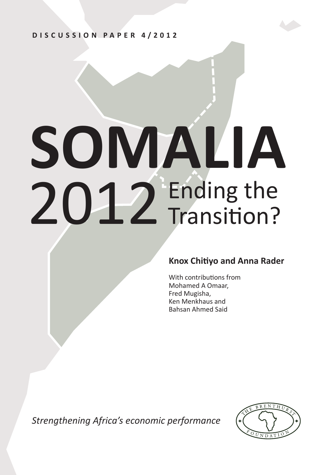**DISCUSSION PAPER 4/2012**

# **SOMALIA** 2012 Ending the Transition?

# **Knox Chitiyo and Anna Rader**

With contributions from Mohamed A Omaar, Fred Mugisha, Ken Menkhaus and Bahsan Ahmed Said

*Strengthening Africa's economic performance*

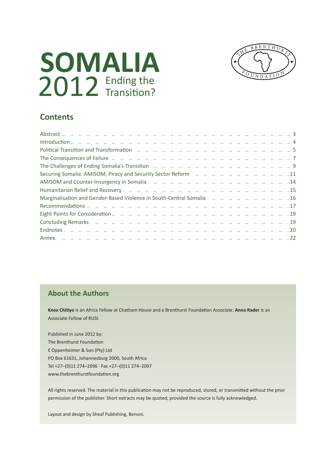



# **Contents**

| Introduction. The contract contract contract contract contract contract contract contract contract of $4$                                                                                                                      |
|--------------------------------------------------------------------------------------------------------------------------------------------------------------------------------------------------------------------------------|
| Political Transition and Transformation (2012) 2014 2020 (2014) 2014 2020 (2014) 2020 (2014) 2020 (2014) 2020 (2014) 2020 (2014) 2020 (2014) 2020 (2014) 2020 (2014) 2020 (2014) 2020 (2014) 2020 (2014) 2020 (2014) 2020 (201 |
|                                                                                                                                                                                                                                |
|                                                                                                                                                                                                                                |
|                                                                                                                                                                                                                                |
|                                                                                                                                                                                                                                |
|                                                                                                                                                                                                                                |
| Marginalisation and Gender-Based Violence in South-Central Somalia          16                                                                                                                                                 |
|                                                                                                                                                                                                                                |
|                                                                                                                                                                                                                                |
|                                                                                                                                                                                                                                |
|                                                                                                                                                                                                                                |
|                                                                                                                                                                                                                                |

## **About the Authors**

**Knox Chitiyo** is an Africa Fellow at Chatham House and a Brenthurst Foundation Associate. **Anna Rader** is an Associate Fellow of RUSI.

Published in June 2012 by: The Brenthurst Foundation E Oppenheimer & Son (Pty) Ltd PO Box 61631, Johannesburg 2000, South Africa Tel +27–(0)11 274–2096 · Fax +27–(0)11 274–2097 www.thebrenthurstfoundation.org

All rights reserved. The material in this publication may not be reproduced, stored, or transmitted without the prior permission of the publisher. Short extracts may be quoted, provided the source is fully acknowledged.

Layout and design by Sheaf Publishing, Benoni.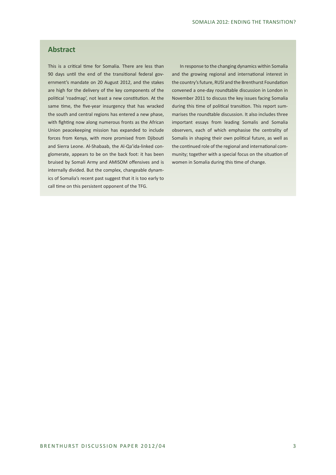## **Abstract**

This is a critical time for Somalia. There are less than 90 days until the end of the transitional federal government's mandate on 20 August 2012, and the stakes are high for the delivery of the key components of the political 'roadmap', not least a new constitution. At the same time, the five-year insurgency that has wracked the south and central regions has entered a new phase, with fighting now along numerous fronts as the African Union peacekeeping mission has expanded to include forces from Kenya, with more promised from Djibouti and Sierra Leone. Al-Shabaab, the Al-Qa'ida-linked conglomerate, appears to be on the back foot: it has been bruised by Somali Army and AMISOM offensives and is internally divided. But the complex, changeable dynamics of Somalia's recent past suggest that it is too early to call time on this persistent opponent of the TFG.

In response to the changing dynamics within Somalia and the growing regional and international interest in the country's future, RUSI and the Brenthurst Foundation convened a one-day roundtable discussion in London in November 2011 to discuss the key issues facing Somalia during this time of political transition. This report summarises the roundtable discussion. It also includes three important essays from leading Somalis and Somalia observers, each of which emphasise the centrality of Somalis in shaping their own political future, as well as the continued role of the regional and international community; together with a special focus on the situation of women in Somalia during this time of change.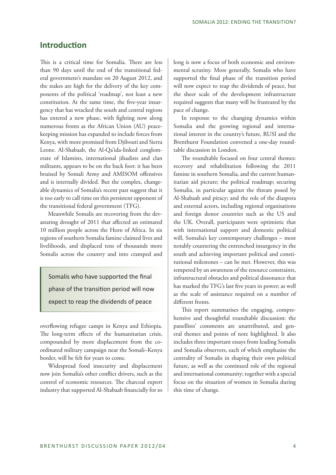## **Introduction**

This is a critical time for Somalia. There are less than 90 days until the end of the transitional federal government's mandate on 20 August 2012, and the stakes are high for the delivery of the key components of the political 'roadmap', not least a new constitution. At the same time, the five-year insurgency that has wracked the south and central regions has entered a new phase, with fighting now along numerous fronts as the African Union (AU) peacekeeping mission has expanded to include forces from Kenya, with more promised from Djibouti and Sierra Leone. Al-Shabaab, the Al-Qa'ida-linked conglomerate of Islamists, international jihadists and clan militants, appears to be on the back foot: it has been bruised by Somali Army and AMISOM offensives and is internally divided. But the complex, changeable dynamics of Somalia's recent past suggest that it is too early to call time on this persistent opponent of the transitional federal government (TFG).

Meanwhile Somalis are recovering from the devastating drought of 2011 that affected an estimated 10 million people across the Horn of Africa. In six regions of southern Somalia famine claimed lives and livelihoods, and displaced tens of thousands more Somalis across the country and into cramped and

Somalis who have supported the final phase of the transition period will now expect to reap the dividends of peace

overflowing refugee camps in Kenya and Ethiopia. The long-term effects of the humanitarian crisis, compounded by more displacement from the coordinated military campaign near the Somali–Kenya border, will be felt for years to come.

Widespread food insecurity and displacement now join Somalia's other conflict drivers, such as the control of economic resources. The charcoal export industry that supported Al-Shabaab financially for so

long is now a focus of both economic and environmental scrutiny. More generally, Somalis who have supported the final phase of the transition period will now expect to reap the dividends of peace, but the sheer scale of the development infrastructure required suggests that many will be frustrated by the pace of change.

In response to the changing dynamics within Somalia and the growing regional and international interest in the country's future, RUSI and the Brenthurst Foundation convened a one-day roundtable discussion in London.

The roundtable focused on four central themes: recovery and rehabilitation following the 2011 famine in southern Somalia, and the current humanitarian aid picture; the political roadmap; securing Somalia, in particular against the threats posed by Al-Shabaab and piracy; and the role of the diaspora and external actors, including regional organisations and foreign donor countries such as the US and the UK. Overall, participants were optimistic that with international support and domestic political will, Somalia's key contemporary challenges – most notably countering the entrenched insurgency in the south and achieving important political and constitutional milestones – can be met. However, this was tempered by an awareness of the resource constraints, infrastructural obstacles and political dissonance that has marked the TFG's last five years in power; as well as the scale of assistance required on a number of different fronts.

This report summarises the engaging, comprehensive and thoughtful roundtable discussion: the panellists' comments are unattributed, and general themes and points of note highlighted. It also includes three important essays from leading Somalis and Somalia observers, each of which emphasise the centrality of Somalis in shaping their own political future, as well as the continued role of the regional and international community; together with a special focus on the situation of women in Somalia during this time of change.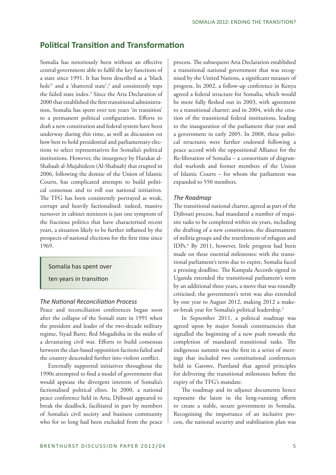# **Political Transition and Transformation**

Somalia has notoriously been without an effective central government able to fulfil the key functions of a state since 1991. It has been described as a 'black hole<sup>21</sup> and a 'shattered state',<sup>2</sup> and consistently tops the failed state index.<sup>3</sup> Since the Arta Declaration of 2000 that established the first transitional administration, Somalia has spent over ten years 'in transition' to a permanent political configuration. Efforts to draft a new constitution and federal system have been underway during this time, as well as discussion on how best to hold presidential and parliamentary elections to select representatives for Somalia's political institutions. However, the insurgency by Harakat al-Shabaab al-Mujahideen (Al-Shabaab) that erupted in 2006, following the demise of the Union of Islamic Courts, has complicated attempts to build political consensus and to roll out national initiatives. The TFG has been consistently portrayed as weak, corrupt and heavily factionalised: indeed, massive turnover in cabinet ministers is just one symptom of the fractious politics that have characterised recent years, a situation likely to be further inflamed by the prospects of national elections for the first time since 1969.

#### Somalia has spent over

ten years in transition

#### *The National Reconciliation Process*

Peace and reconciliation conferences began soon after the collapse of the Somali state in 1991 when the president and leader of the two-decade military regime, Siyad Barre, fled Mogadishu in the midst of a devastating civil war. Efforts to build consensus between the clan-based opposition factions failed and the country descended further into violent conflict.

Externally supported initiatives throughout the 1990s attempted to find a model of government that would appease the divergent interests of Somalia's factionalised political elites. In 2000, a national peace conference held in Arta, Djibouti appeared to break the deadlock, facilitated in part by members of Somalia's civil society and business community who for so long had been excluded from the peace

process. The subsequent Arta Declaration established a transitional national government that was recognised by the United Nations, a significant measure of progress. In 2002, a follow-up conference in Kenya agreed a federal structure for Somalia, which would be more fully fleshed out in 2003, with agreement to a transitional charter; and in 2004, with the creation of the transitional federal institutions, leading to the inauguration of the parliament that year and a government in early 2005. In 2008, these political structures were further endorsed following a peace accord with the oppositional Alliance for the Re-liberation of Somalia – a consortium of disgruntled warlords and former members of the Union of Islamic Courts – for whom the parliament was expanded to 550 members.

#### *The Roadmap*

The transitional national charter, agreed as part of the Djibouti process, had mandated a number of requisite tasks to be completed within six years, including the drafting of a new constitution, the disarmament of militia groups and the resettlement of refugees and IDPs.4 By 2011, however, little progress had been made on these essential milestones: with the transitional parliament's term due to expire, Somalia faced a pressing deadline. The Kampala Accords signed in Uganda extended the transitional parliament's term by an additional three years, a move that was roundly criticised; the government's term was also extended by one year to August 2012, making 2012 a makeor-break year for Somalia's political leadership.5

In September 2011, a political roadmap was agreed upon by major Somali constituencies that signalled the beginning of a new push towards the completion of mandated transitional tasks. The indigenous summit was the first in a series of meetings that included two constitutional conferences held in Garowe, Puntland that agreed principles for delivering the transitional milestones before the expiry of the TFG's mandate.

The roadmap and its adjunct documents hence represent the latest in the long-running efforts to create a stable, secure government in Somalia. Recognising the importance of an inclusive process, the national security and stabilisation plan was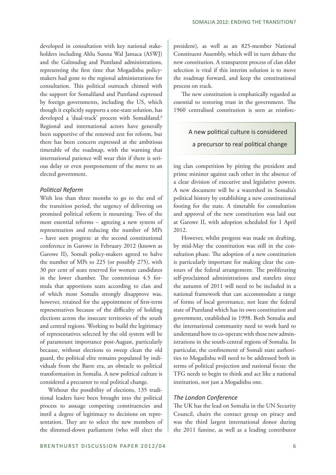developed in consultation with key national stakeholders including Ahlu Sunna Wal Jamaca (ASWJ) and the Galmudug and Puntland administrations, representing the first time that Mogadishu policymakers had gone to the regional administrations for consultation. This political outreach chimed with the support for Somaliland and Puntland expressed by foreign governments, including the US, which though it explicitly supports a one-state solution, has developed a 'dual-track' process with Somaliland.<sup>6</sup> Regional and international actors have generally been supportive of the renewed zest for reform, but there has been concern expressed at the ambitious timetable of the roadmap, with the warning that international patience will wear thin if there is serious delay or even postponement of the move to an elected government.

#### *Political Reform*

With less than three months to go to the end of the transition period, the urgency of delivering on promised political reform is mounting. Two of the most essential reforms – agreeing a new system of representation and reducing the number of MPs – have seen progress: at the second constitutional conference in Garowe in February 2012 (known as Garowe II), Somali policy-makers agreed to halve the number of MPs to 225 (or possibly 275), with 30 per cent of seats reserved for women candidates in the lower chamber. The contentious 4.5 formula that apportions seats according to clan and of which most Somalis strongly disapprove was, however, retained for the appointment of first-term representatives because of the difficulty of holding elections across the insecure territories of the south and central regions. Working to build the legitimacy of representatives selected by the old system will be of paramount importance post-August, particularly because, without elections to sweep clean the old guard, the political elite remains populated by individuals from the Barre era, an obstacle to political transformation in Somalia. A new political culture is considered a precursor to real political change.

Without the possibility of elections, 135 traditional leaders have been brought into the political process to assuage competing constituencies and instil a degree of legitimacy to decisions on representation. They are to select the new members of the slimmed-down parliament (who will elect the

president), as well as an 825-member National Constituent Assembly, which will in turn debate the new constitution. A transparent process of clan elder selection is vital if this interim solution is to move the roadmap forward, and keep the constitutional process on track.

The new constitution is emphatically regarded as essential to restoring trust in the government. The 1960 centralised constitution is seen as reinforc-

# A new political culture is considered a precursor to real political change

ing clan competition by pitting the president and prime minister against each other in the absence of a clear division of executive and legislative powers. A new document will be a watershed in Somalia's political history by establishing a new constitutional footing for the state. A timetable for consultation and approval of the new constitution was laid out at Garowe II, with adoption scheduled for 1 April 2012.

However, whilst progress was made on drafting, by mid-May the constitution was still in the consultation phase. The adoption of a new constitution is particularly important for making clear the contours of the federal arrangement. The proliferating self-proclaimed administrations and statelets since the autumn of 2011 will need to be included in a national framework that can accommodate a range of forms of local governance, not least the federal state of Puntland which has its own constitution and government, established in 1998. Both Somalia and the international community need to work hard to understand how to co-operate with these new administrations in the south-central regions of Somalia. In particular, the confinement of Somali state authorities to Mogadishu will need to be addressed both in terms of political projection and national focus: the TFG needs to begin to think and act like a national institution, not just a Mogadishu one.

## *The London Conference*

The UK has the lead on Somalia in the UN Security Council, chairs the contact group on piracy and was the third largest international donor during the 2011 famine, as well as a leading contributor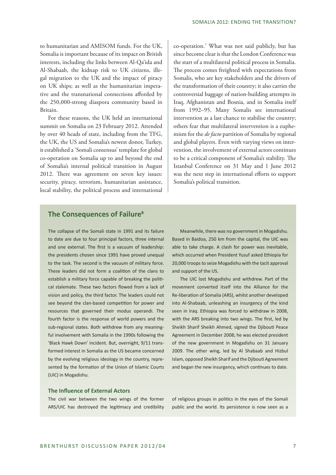to humanitarian and AMISOM funds. For the UK, Somalia is important because of its impact on British interests, including the links between Al-Qa'ida and Al-Shabaab, the kidnap risk to UK citizens, illegal migration to the UK and the impact of piracy on UK ships; as well as the humanitarian imperative and the transnational connections afforded by the 250,000-strong diaspora community based in Britain.

For these reasons, the UK held an international summit on Somalia on 23 February 2012. Attended by over 40 heads of state, including from the TFG, the UK, the US and Somalia's newest donor, Turkey, it established a 'Somali consensus' template for global co-operation on Somalia up to and beyond the end of Somalia's internal political transition in August 2012. There was agreement on seven key issues: security, piracy, terrorism, humanitarian assistance, local stability, the political process and international

co-operation.7 What was not said publicly, but has since become clear is that the London Conference was the start of a multilateral political process in Somalia. The process comes freighted with expectations from Somalis, who are key stakeholders and the drivers of the transformation of their country; it also carries the controversial baggage of nation-building attempts in Iraq, Afghanistan and Bosnia, and in Somalia itself from 1992–95. Many Somalis see international intervention as a last chance to stabilise the country; others fear that multilateral intervention is a euphemism for the *de facto* partition of Somalia by regional and global players. Even with varying views on intervention, the involvement of external actors continues to be a critical component of Somalia's stability. The Istanbul Conference on 31 May and 1 June 2012 was the next step in international efforts to support Somalia's political transition.

## **The Consequences of Failure<sup>8</sup>**

The collapse of the Somali state in 1991 and its failure to date are due to four principal factors, three internal and one external. The first is a vacuum of leadership: the presidents chosen since 1991 have proved unequal to the task. The second is the vacuum of military force. These leaders did not form a coalition of the clans to establish a military force capable of breaking the political stalemate. These two factors flowed from a lack of vision and policy, the third factor. The leaders could not see beyond the clan-based competition for power and resources that governed their modus operandi. The fourth factor is the response of world powers and the sub-regional states. Both withdrew from any meaningful involvement with Somalia in the 1990s following the 'Black Hawk Down' incident. But, overnight, 9/11 transformed interest in Somalia as the US became concerned by the evolving religious ideology in the country, represented by the formation of the Union of Islamic Courts (UIC) in Mogadishu.

Meanwhile, there was no government in Mogadishu. Based in Baidoa, 250 km from the capital, the UIC was able to take charge. A clash for power was inevitable, which occurred when President Yusuf asked Ethiopia for 20,000 troops to seize Mogadishu with the tacit approval and support of the US.

The UIC lost Mogadishu and withdrew. Part of the movement converted itself into the Alliance for the Re-liberation of Somalia (ARS), whilst another developed into Al-Shabaab, unleashing an insurgency of the kind seen in Iraq. Ethiopia was forced to withdraw in 2008, with the ARS breaking into two wings. The first, led by Sheikh Sharif Sheikh Ahmed, signed the Djibouti Peace Agreement in December 2008; he was elected president of the new government in Mogadishu on 31 January 2009. The other wing, led by Al Shabaab and Hizbul Islam, opposed Sheikh Sharif and the Djibouti Agreement and began the new insurgency, which continues to date.

#### **The Influence of External Actors**

The civil war between the two wings of the former ARS/UIC has destroyed the legitimacy and credibility of religious groups in politics in the eyes of the Somali public and the world. Its persistence is now seen as a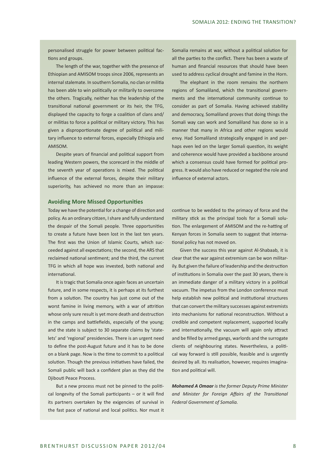personalised struggle for power between political factions and groups.

The length of the war, together with the presence of Ethiopian and AMISOM troops since 2006, represents an internal stalemate. In southern Somalia, no clan or militia has been able to win politically or militarily to overcome the others. Tragically, neither has the leadership of the transitional national government or its heir, the TFG, displayed the capacity to forge a coalition of clans and/ or militias to force a political or military victory. This has given a disproportionate degree of political and military influence to external forces, especially Ethiopia and AMISOM.

Despite years of financial and political support from leading Western powers, the scorecard in the middle of the seventh year of operations is mixed. The political influence of the external forces, despite their military superiority, has achieved no more than an impasse:

Somalia remains at war, without a political solution for all the parties to the conflict. There has been a waste of human and financial resources that should have been used to address cyclical drought and famine in the Horn.

The elephant in the room remains the northern regions of Somaliland, which the transitional governments and the international community continue to consider as part of Somalia. Having achieved stability and democracy, Somaliland proves that doing things the Somali way can work and Somaliland has done so in a manner that many in Africa and other regions would envy. Had Somaliland strategically engaged in and perhaps even led on the larger Somali question, its weight and coherence would have provided a backbone around which a consensus could have formed for political progress. It would also have reduced or negated the role and influence of external actors.

#### **Avoiding More Missed Opportunities**

Today we have the potential for a change of direction and policy. As an ordinary citizen, I share and fully understand the despair of the Somali people. Three opportunities to create a future have been lost in the last ten years. The first was the Union of Islamic Courts, which succeeded against all expectations; the second, the ARS that reclaimed national sentiment; and the third, the current TFG in which all hope was invested, both national and international.

It is tragic that Somalia once again faces an uncertain future, and in some respects, it is perhaps at its furthest from a solution. The country has just come out of the worst famine in living memory, with a war of attrition whose only sure result is yet more death and destruction in the camps and battlefields, especially of the young; and the state is subject to 30 separate claims by 'statelets' and 'regional' presidencies. There is an urgent need to define the post-August future and it has to be done on a blank page. Now is the time to commit to a political solution. Though the previous initiatives have failed, the Somali public will back a confident plan as they did the Djibouti Peace Process.

But a new process must not be pinned to the political longevity of the Somali participants – or it will find its partners overtaken by the exigencies of survival in the fast pace of national and local politics. Nor must it

continue to be wedded to the primacy of force and the military stick as the principal tools for a Somali solution. The enlargement of AMISOM and the re-hatting of Kenyan forces in Somalia seem to suggest that international policy has not moved on.

Given the success this year against Al-Shabaab, it is clear that the war against extremism can be won militarily. But given the failure of leadership and the destruction of institutions in Somalia over the past 30 years, there is an immediate danger of a military victory in a political vacuum. The impetus from the London conference must help establish new political and institutional structures that can convert the military successes against extremists into mechanisms for national reconstruction. Without a credible and competent replacement, supported locally and internationally, the vacuum will again only attract and be filled by armed gangs, warlords and the surrogate clients of neighbouring states. Nevertheless, a political way forward is still possible, feasible and is urgently desired by all. Its realisation, however, requires imagination and political will.

*Mohamed A Omaar is the former Deputy Prime Minister and Minister for Foreign Affairs of the Transitional Federal Government of Somalia.*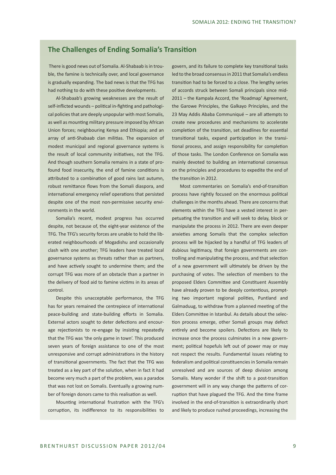## **The Challenges of Ending Somalia's Transition**

 There is good news out of Somalia. Al-Shabaab is in trouble, the famine is technically over, and local governance is gradually expanding. The bad news is that the TFG has had nothing to do with these positive developments.

Al-Shabaab's growing weaknesses are the result of self-inflicted wounds – political in-fighting and pathological policies that are deeply unpopular with most Somalis, as well as mounting military pressure imposed by African Union forces; neighbouring Kenya and Ethiopia; and an array of anti-Shabaab clan militias. The expansion of modest municipal and regional governance systems is the result of local community initiatives, not the TFG. And though southern Somalia remains in a state of profound food insecurity, the end of famine conditions is attributed to a combination of good rains last autumn, robust remittance flows from the Somali diaspora, and international emergency relief operations that persisted despite one of the most non-permissive security environments in the world.

Somalia's recent, modest progress has occurred despite, not because of, the eight-year existence of the TFG. The TFG's security forces are unable to hold the liberated neighbourhoods of Mogadishu and occasionally clash with one another; TFG leaders have treated local governance systems as threats rather than as partners, and have actively sought to undermine them; and the corrupt TFG was more of an obstacle than a partner in the delivery of food aid to famine victims in its areas of control.

Despite this unacceptable performance, the TFG has for years remained the centrepiece of international peace-building and state-building efforts in Somalia. External actors sought to deter defections and encourage rejectionists to re-engage by insisting repeatedly that the TFG was 'the only game in town'. This produced seven years of foreign assistance to one of the most unresponsive and corrupt administrations in the history of transitional governments. The fact that the TFG was treated as a key part of the solution, when in fact it had become very much a part of the problem, was a paradox that was not lost on Somalis. Eventually a growing number of foreign donors came to this realisation as well.

Mounting international frustration with the TFG's corruption, its indifference to its responsibilities to

govern, and its failure to complete key transitional tasks led to the broad consensus in 2011 that Somalia's endless transition had to be forced to a close. The lengthy series of accords struck between Somali principals since mid-2011 – the Kampala Accord, the 'Roadmap' Agreement, the Garowe Principles, the Galkayo Principles, and the 23 May Addis Ababa Communiqué – are all attempts to create new procedures and mechanisms to accelerate completion of the transition, set deadlines for essential transitional tasks, expand participation in the transitional process, and assign responsibility for completion of those tasks. The London Conference on Somalia was mainly devoted to building an international consensus on the principles and procedures to expedite the end of the transition in 2012.

Most commentaries on Somalia's end-of-transition process have rightly focused on the enormous political challenges in the months ahead. There are concerns that elements within the TFG have a vested interest in perpetuating the transition and will seek to delay, block or manipulate the process in 2012. There are even deeper anxieties among Somalis that the complex selection process will be hijacked by a handful of TFG leaders of dubious legitimacy, that foreign governments are controlling and manipulating the process, and that selection of a new government will ultimately be driven by the purchasing of votes. The selection of members to the proposed Elders Committee and Constituent Assembly have already proven to be deeply contentious, prompting two important regional polities, Puntland and Galmaduug, to withdraw from a planned meeting of the Elders Committee in Istanbul. As details about the selection process emerge, other Somali groups may defect entirely and become spoilers. Defections are likely to increase once the process culminates in a new government; political hopefuls left out of power may or may not respect the results. Fundamental issues relating to federalism and political constituencies in Somalia remain unresolved and are sources of deep division among Somalis. Many wonder if the shift to a post-transition government will in any way change the patterns of corruption that have plagued the TFG. And the time frame involved in the end-of-transition is extraordinarily short and likely to produce rushed proceedings, increasing the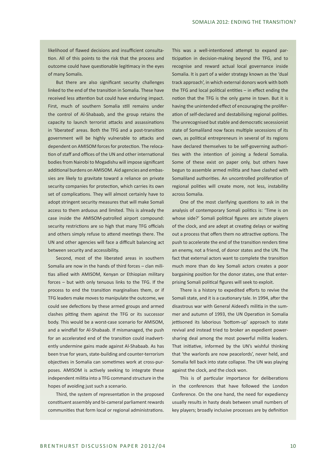likelihood of flawed decisions and insufficient consultation. All of this points to the risk that the process and outcome could have questionable legitimacy in the eyes of many Somalis.

But there are also significant security challenges linked to the end of the transition in Somalia. These have received less attention but could have enduring impact. First, much of southern Somalia still remains under the control of Al-Shabaab, and the group retains the capacity to launch terrorist attacks and assassinations in 'liberated' areas. Both the TFG and a post-transition government will be highly vulnerable to attacks and dependent on AMISOM forces for protection. The relocation of staff and offices of the UN and other international bodies from Nairobi to Mogadishu will impose significant additional burdens on AMISOM. Aid agencies and embassies are likely to gravitate toward a reliance on private security companies for protection, which carries its own set of complications. They will almost certainly have to adopt stringent security measures that will make Somali access to them arduous and limited. This is already the case inside the AMISOM-patrolled airport compound: security restrictions are so high that many TFG officials and others simply refuse to attend meetings there. The UN and other agencies will face a difficult balancing act between security and accessibility.

Second, most of the liberated areas in southern Somalia are now in the hands of third forces – clan militias allied with AMISOM, Kenyan or Ethiopian military forces – but with only tenuous links to the TFG. If the process to end the transition marginalises them, or if TFG leaders make moves to manipulate the outcome, we could see defections by these armed groups and armed clashes pitting them against the TFG or its successor body. This would be a worst-case scenario for AMISOM, and a windfall for Al-Shabaab. If mismanaged, the push for an accelerated end of the transition could inadvertently undermine gains made against Al-Shabaab. As has been true for years, state-building and counter-terrorism objectives in Somalia can sometimes work at cross-purposes. AMISOM is actively seeking to integrate these independent militia into a TFG command structure in the hopes of avoiding just such a scenario.

Third, the system of representation in the proposed constituent assembly and bi-cameral parliament rewards communities that form local or regional administrations.

This was a well-intentioned attempt to expand participation in decision-making beyond the TFG, and to recognise and reward actual local governance inside Somalia. It is part of a wider strategy known as the 'dual track approach', in which external donors work with both the TFG and local political entities – in effect ending the notion that the TFG is the only game in town. But it is having the unintended effect of encouraging the proliferation of self-declared and destabilising regional polities. The unrecognised but stable and democratic secessionist state of Somaliland now faces multiple secessions of its own, as political entrepreneurs in several of its regions have declared themselves to be self-governing authorities with the intention of joining a federal Somalia. Some of these exist on paper only, but others have begun to assemble armed militia and have clashed with Somaliland authorities. An uncontrolled proliferation of regional polities will create more, not less, instability across Somalia.

One of the most clarifying questions to ask in the analysis of contemporary Somali politics is: 'Time is on whose side?' Somali political figures are astute players of the clock, and are adept at creating delays or waiting out a process that offers them no attractive options. The push to accelerate the end of the transition renders time an enemy, not a friend, of donor states and the UN. The fact that external actors want to complete the transition much more than do key Somali actors creates a poor bargaining position for the donor states, one that enterprising Somali political figures will seek to exploit.

There is a history to expedited efforts to revive the Somali state, and it is a cautionary tale. In 1994, after the disastrous war with General Aideed's militia in the summer and autumn of 1993, the UN Operation in Somalia jettisoned its laborious 'bottom-up' approach to state revival and instead tried to broker an expedient powersharing deal among the most powerful militia leaders. That initiative, informed by the UN's wishful thinking that 'the warlords are now peacelords', never held, and Somalia fell back into state collapse. The UN was playing against the clock, and the clock won.

This is of particular importance for deliberations in the conferences that have followed the London Conference. On the one hand, the need for expediency usually results in hasty deals between small numbers of key players; broadly inclusive processes are by definition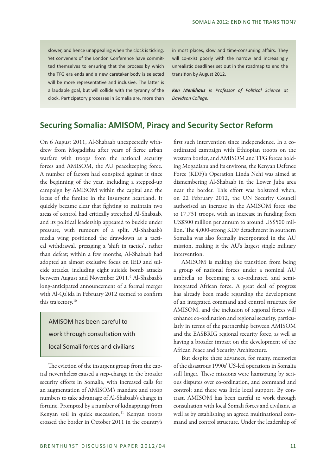slower, and hence unappealing when the clock is ticking. Yet conveners of the London Conference have committed themselves to ensuring that the process by which the TFG era ends and a new caretaker body is selected will be more representative and inclusive. The latter is a laudable goal, but will collide with the tyranny of the clock. Participatory processes in Somalia are, more than in most places, slow and time-consuming affairs. They will co-exist poorly with the narrow and increasingly unrealistic deadlines set out in the roadmap to end the transition by August 2012.

*Ken Menkhaus is Professor of Political Science at Davidson College.*

# **Securing Somalia: AMISOM, Piracy and Security Sector Reform**

On 6 August 2011, Al-Shabaab unexpectedly withdrew from Mogadishu after years of fierce urban warfare with troops from the national security forces and AMISOM, the AU peacekeeping force. A number of factors had conspired against it since the beginning of the year, including a stepped-up campaign by AMISOM within the capital and the locus of the famine in the insurgent heartland. It quickly became clear that fighting to maintain two areas of control had critically stretched Al-Shabaab, and its political leadership appeared to buckle under pressure, with rumours of a split. Al-Shabaab's media wing positioned the drawdown as a tactical withdrawal, presaging a 'shift in tactics', rather than defeat; within a few months, Al-Shabaab had adopted an almost exclusive focus on IED and suicide attacks, including eight suicide bomb attacks between August and November 2011.<sup>9</sup> Al-Shabaab's long-anticipated announcement of a formal merger with Al-Qa'ida in February 2012 seemed to confirm this trajectory.<sup>10</sup>

AMISOM has been careful to work through consultation with local Somali forces and civilians

The eviction of the insurgent group from the capital nevertheless caused a step-change in the broader security efforts in Somalia, with increased calls for an augmentation of AMISOM's mandate and troop numbers to take advantage of Al-Shabaab's change in fortune. Prompted by a number of kidnappings from Kenyan soil in quick succession,<sup>11</sup> Kenyan troops crossed the border in October 2011 in the country's first such intervention since independence. In a coordinated campaign with Ethiopian troops on the western border, and AMISOM and TFG forces holding Mogadishu and its environs, the Kenyan Defence Force (KDF)'s Operation Linda Nchi was aimed at dismembering Al-Shabaab in the Lower Juba area near the border. This effort was bolstered when, on 22 February 2012, the UN Security Council authorised an increase in the AMISOM force size to 17,731 troops, with an increase in funding from US\$300 million per annum to around US\$500 million. The 4,000-strong KDF detachment in southern Somalia was also formally incorporated in the AU mission, making it the AU's largest single military intervention.

AMISOM is making the transition from being a group of national forces under a nominal AU umbrella to becoming a co-ordinated and semiintegrated African force. A great deal of progress has already been made regarding the development of an integrated command and control structure for AMISOM, and the inclusion of regional forces will enhance co-ordination and regional security, particularly in terms of the partnership between AMISOM and the EASBRIG regional security force, as well as having a broader impact on the development of the African Peace and Security Architecture.

But despite these advances, for many, memories of the disastrous 1990s' US-led operations in Somalia still linger. These missions were hamstrung by serious disputes over co-ordination, and command and control; and there was little local support. By contrast, AMISOM has been careful to work through consultation with local Somali forces and civilians, as well as by establishing an agreed multinational command and control structure. Under the leadership of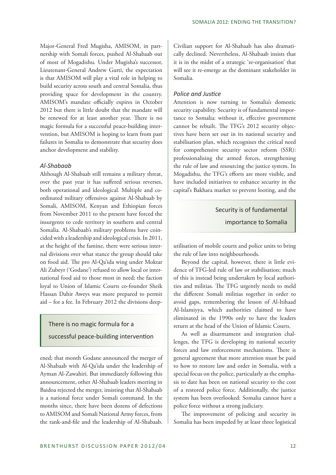Major-General Fred Mugisha, AMISOM, in partnership with Somali forces, pushed Al-Shabaab out of most of Mogadishu. Under Mugisha's successor, Lieutenant-General Andrew Gutti, the expectation is that AMISOM will play a vital role in helping to build security across south and central Somalia, thus providing space for development in the country. AMISOM's mandate officially expires in October 2012 but there is little doubt that the mandate will be renewed for at least another year. There is no magic formula for a successful peace-building intervention, but AMISOM is hoping to learn from past failures in Somalia to demonstrate that security does anchor development and stability.

#### *Al-Shabaab*

Although Al-Shabaab still remains a military threat, over the past year it has suffered serious reverses, both operational and ideological. Multiple and coordinated military offensives against Al-Shabaab by Somali, AMISOM, Kenyan and Ethiopian forces from November 2011 to the present have forced the insurgents to cede territory in southern and central Somalia. Al-Shabaab's military problems have coincided with a leadership and ideological crisis. In 2011, at the height of the famine, there were serious internal divisions over what stance the group should take on food aid. The pro Al-Qa'ida wing under Moktar Ali Zubeyr ('Godane') refused to allow local or international food aid to those most in need; the faction loyal to Union of Islamic Courts co-founder Sheik Hassan Dahir Aweys was more prepared to permit aid – for a fee. In February 2012 the divisions deep-

#### There is no magic formula for a

#### successful peace-building intervention

ened; that month Godane announced the merger of Al-Shabaab with Al-Qa'ida under the leadership of Ayman Al-Zawahiri. But immediately following this announcement, other Al-Shabaab leaders meeting in Baidoa rejected the merger, insisting that Al-Shabaab is a national force under Somali command. In the months since, there have been dozens of defections to AMISOM and Somali National Army forces, from the rank-and-file and the leadership of Al-Shabaab.

Civilian support for Al-Shabaab has also dramatically declined. Nevertheless, Al-Shabaab insists that it is in the midst of a strategic 're-organisation' that will see it re-emerge as the dominant stakeholder in Somalia.

#### *Police and Justice*

Attention is now turning to Somalia's domestic security capability. Security is of fundamental importance to Somalia: without it, effective government cannot be rebuilt. The TFG's 2012 security objectives have been set out in its national security and stabilisation plan, which recognises the critical need for comprehensive security sector reform (SSR): professionalising the armed forces, strengthening the rule of law and resourcing the justice system. In Mogadishu, the TFG's efforts are more visible, and have included initiatives to enhance security in the capital's Bakhara market to prevent looting, and the

#### Security is of fundamental

importance to Somalia

utilisation of mobile courts and police units to bring the rule of law into neighbourhoods.

Beyond the capital, however, there is little evidence of TFG-led rule of law or stabilisation; much of this is instead being undertaken by local authorities and militias. The TFG urgently needs to meld the different Somali militias together in order to avoid gaps, remembering the lesson of Al-Itihaad Al-Islamiyya, which authorities claimed to have eliminated in the 1990s only to have the leaders return at the head of the Union of Islamic Courts.

As well as disarmament and integration challenges, the TFG is developing its national security forces and law enforcement mechanisms. There is general agreement that more attention must be paid to how to restore law and order in Somalia, with a special focus on the police, particularly as the emphasis to date has been on national security to the cost of a restored police force. Additionally, the justice system has been overlooked: Somalia cannot have a police force without a strong judiciary.

The improvement of policing and security in Somalia has been impeded by at least three logistical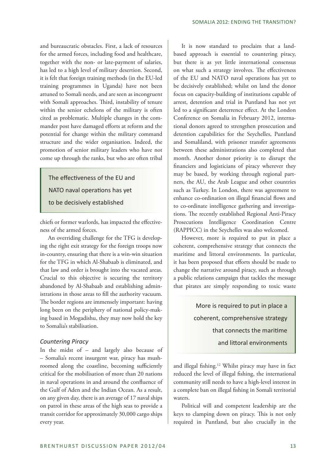and bureaucratic obstacles. First, a lack of resources for the armed forces, including food and healthcare, together with the non- or late-payment of salaries, has led to a high level of military desertion. Second, it is felt that foreign training methods (in the EU-led training programmes in Uganda) have not been attuned to Somali needs, and are seen as incongruent with Somali approaches. Third, instability of tenure within the senior echelons of the military is often cited as problematic. Multiple changes in the commander post have damaged efforts at reform and the potential for change within the military command structure and the wider organisation. Indeed, the promotion of senior military leaders who have not come up through the ranks, but who are often tribal

The effectiveness of the EU and NATO naval operations has yet to be decisively established

chiefs or former warlords, has impacted the effectiveness of the armed forces.

An overriding challenge for the TFG is developing the right exit strategy for the foreign troops now in-country, ensuring that there is a win-win situation for the TFG in which Al-Shabaab is eliminated, and that law and order is brought into the vacated areas. Crucial to this objective is securing the territory abandoned by Al-Shabaab and establishing administrations in those areas to fill the authority vacuum. The border regions are immensely important: having long been on the periphery of national policy-making based in Mogadishu, they may now hold the key to Somalia's stabilisation.

#### *Countering Piracy*

In the midst of – and largely also because of – Somalia's recent insurgent war, piracy has mushroomed along the coastline, becoming sufficiently critical for the mobilisation of more than 20 nations in naval operations in and around the confluence of the Gulf of Aden and the Indian Ocean. As a result, on any given day, there is an average of 17 naval ships on patrol in these areas of the high seas to provide a transit corridor for approximately 30,000 cargo ships every year.

It is now standard to proclaim that a landbased approach is essential to countering piracy, but there is as yet little international consensus on what such a strategy involves. The effectiveness of the EU and NATO naval operations has yet to be decisively established; whilst on land the donor focus on capacity-building of institutions capable of arrest, detention and trial in Puntland has not yet led to a significant deterrence effect. At the London Conference on Somalia in February 2012, international donors agreed to strengthen prosecution and detention capabilities for the Seychelles, Puntland and Somaliland, with prisoner transfer agreements between these administrations also completed that month. Another donor priority is to disrupt the financiers and logisticians of piracy wherever they may be based, by working through regional partners, the AU, the Arab League and other countries such as Turkey. In London, there was agreement to enhance co-ordination on illegal financial flows and to co-ordinate intelligence gathering and investigations. The recently established Regional Anti-Piracy Prosecutions Intelligence Coordination Centre (RAPPICC) in the Seychelles was also welcomed.

However, more is required to put in place a coherent, comprehensive strategy that connects the maritime and littoral environments. In particular, it has been proposed that efforts should be made to change the narrative around piracy, such as through a public relations campaign that tackles the message that pirates are simply responding to toxic waste

> More is required to put in place a coherent, comprehensive strategy that connects the maritime and littoral environments

and illegal fishing.12 Whilst piracy may have in fact reduced the level of illegal fishing, the international community still needs to have a high-level interest in a complete ban on illegal fishing in Somali territorial waters.

Political will and competent leadership are the keys to clamping down on piracy. This is not only required in Puntland, but also crucially in the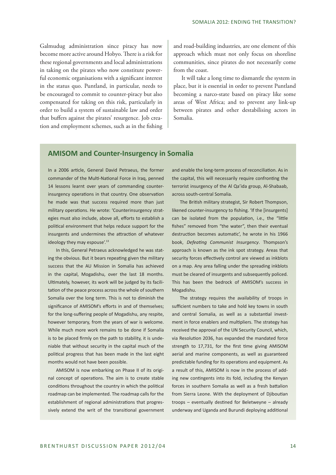Galmudug administration since piracy has now become more active around Hobyo. There is a risk for these regional governments and local administrations in taking on the pirates who now constitute powerful economic organisations with a significant interest in the status quo. Puntland, in particular, needs to be encouraged to commit to counter-piracy but also compensated for taking on this risk, particularly in order to build a system of sustainable law and order that buffers against the pirates' resurgence. Job creation and employment schemes, such as in the fishing and road-building industries, are one element of this approach which must not only focus on shoreline communities, since pirates do not necessarily come from the coast.

It will take a long time to dismantle the system in place, but it is essential in order to prevent Puntland becoming a narco-state based on piracy like some areas of West Africa; and to prevent any link-up between pirates and other destabilising actors in Somalia.

## **AMISOM and Counter-Insurgency in Somalia**

In a 2006 article, General David Petraeus, the former commander of the Multi-National Force in Iraq, penned 14 lessons learnt over years of commanding counterinsurgency operations in that country. One observation he made was that success required more than just military operations. He wrote: 'Counterinsurgency strategies must also include, above all, efforts to establish a political environment that helps reduce support for the insurgents and undermines the attraction of whatever ideology they may espouse'.<sup>13</sup>

In this, General Petraeus acknowledged he was stating the obvious. But it bears repeating given the military success that the AU Mission in Somalia has achieved in the capital, Mogadishu, over the last 18 months. Ultimately, however, its work will be judged by its facilitation of the peace process across the whole of southern Somalia over the long term. This is not to diminish the significance of AMISOM's efforts in and of themselves; for the long-suffering people of Mogadishu, any respite, however temporary, from the years of war is welcome. While much more work remains to be done if Somalia is to be placed firmly on the path to stability, it is undeniable that without security in the capital much of the political progress that has been made in the last eight months would not have been possible.

AMISOM is now embarking on Phase II of its original concept of operations. The aim is to create stable conditions throughout the country in which the political roadmap can be implemented. The roadmap calls for the establishment of regional administrations that progressively extend the writ of the transitional government

and enable the long-term process of reconciliation. As in the capital, this will necessarily require confronting the terrorist insurgency of the Al Qa'ida group, Al-Shabaab, across south-central Somalia.

The British military strategist, Sir Robert Thompson, likened counter-insurgency to fishing. 'If the [insurgents] can be isolated from the population, i.e., the "little fishes" removed from "the water", then their eventual destruction becomes automatic', he wrote in his 1966 book, *Defeating Communist Insurgency*. Thompson's approach is known as the ink spot strategy. Areas that security forces effectively control are viewed as inkblots on a map. Any area falling under the spreading inkblots must be cleared of insurgents and subsequently policed. This has been the bedrock of AMISOM's success in Mogadishu.

The strategy requires the availability of troops in sufficient numbers to take and hold key towns in south and central Somalia, as well as a substantial investment in force enablers and multipliers. The strategy has received the approval of the UN Security Council, which, via Resolution 2036, has expanded the mandated force strength to 17,731, for the first time giving AMISOM aerial and marine components, as well as guaranteed predictable funding for its operations and equipment. As a result of this, AMISOM is now in the process of adding new contingents into its fold, including the Kenyan forces in southern Somalia as well as a fresh battalion from Sierra Leone. With the deployment of Djiboutian troops – eventually destined for Beletweyne – already underway and Uganda and Burundi deploying additional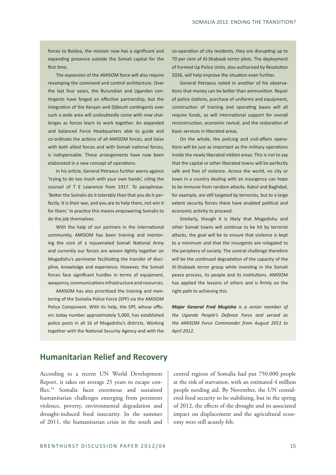forces to Baidoa, the mission now has a significant and expanding presence outside the Somali capital for the first time.

The expansion of the AMISOM force will also require revamping the command and control architecture. Over the last four years, the Burundian and Ugandan contingents have forged an effective partnership, but the integration of the Kenyan and Djibouti contingents over such a wide area will undoubtedly come with new challenges as forces learn to work together. An expanded and balanced Force Headquarters able to guide and co-ordinate the actions of all AMISOM forces, and liaise with both allied forces and with Somali national forces, is indispensable. These arrangements have now been elaborated in a new concept of operations.

In his article, General Petraeus further warns against 'trying to do too much with your own hands', citing the counsel of T E Lawrence from 1917. To paraphrase: 'Better the Somalis do it tolerably than that you do it perfectly. It is their war, and you are to help them, not win it for them.' In practice this means empowering Somalis to do the job themselves.

With the help of our partners in the international community, AMISOM has been training and mentoring the core of a rejuvenated Somali National Army and currently our forces are woven tightly together on Mogadishu's perimeter facilitating the transfer of discipline, knowledge and experience. However, the Somali forces face significant hurdles in terms of equipment, weaponry, communications infrastructure and resources.

AMISOM has also prioritised the training and mentoring of the Somalia Police Force (SPF) via the AMISOM Police Component. With its help, the SPF, whose officers today number approximately 5,000, has established police posts in all 16 of Mogadishu's districts. Working together with the National Security Agency and with the

co-operation of city residents, they are disrupting up to 70 per cent of Al-Shabaab terror plots. The deployment of Formed Up Police Units, also authorised by Resolution 2036, will help improve the situation even further.

General Petraeus noted in another of his observations that money can be better than ammunition. Repair of police stations, purchase of uniforms and equipment, construction of training and operating bases will all require funds, as will international support for overall reconstruction, economic revival, and the restoration of basic services in liberated areas.

On the whole, the policing and civil-affairs operations will be just as important as the military operations inside the newly liberated inkblot areas. This is not to say that the capital or other liberated towns will be perfectly safe and free of violence. Across the world, no city or town in a country dealing with an insurgency can hope to be immune from random attacks. Kabul and Baghdad, for example, are still targeted by terrorists, but to a large extent security forces there have enabled political and economic activity to proceed.

Similarly, though it is likely that Mogadishu and other Somali towns will continue to be hit by terrorist attacks, the goal will be to ensure that violence is kept to a minimum and that the insurgents are relegated to the periphery of society. The central challenge therefore will be the continued degradation of the capacity of the Al-Shabaab terror group while investing in the Somali peace process, its people and its institutions. AMISOM has applied the lessons of others and is firmly on the right path to achieving this.

*Major General Fred Mugisha is a senior member of the Uganda People's Defence Force and served as the AMISOM Force Commander from August 2011 to April 2012.*

# **Humanitarian Relief and Recovery**

According to a recent UN World Development Report, it takes on average 25 years to escape conflict.14 Somalia faces enormous and sustained humanitarian challenges emerging from persistent violence, poverty, environmental degradation and drought-induced food insecurity. In the summer of 2011, the humanitarian crisis in the south and

central regions of Somalia had put 750,000 people at the risk of starvation, with an estimated 4 million people needing aid. By November, the UN considered food security to be stabilising, but in the spring of 2012, the effects of the drought and its associated impact on displacement and the agricultural economy were still acutely felt.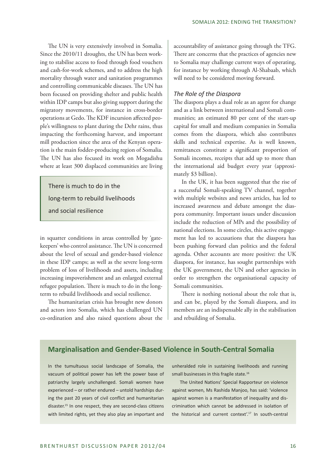The UN is very extensively involved in Somalia. Since the 2010/11 droughts, the UN has been working to stabilise access to food through food vouchers and cash-for-work schemes, and to address the high mortality through water and sanitation programmes and controlling communicable diseases. The UN has been focused on providing shelter and public health within IDP camps but also giving support during the migratory movements, for instance in cross-border operations at Gedo. The KDF incursion affected people's willingness to plant during the Dehr rains, thus impacting the forthcoming harvest, and important mill production since the area of the Kenyan operation is the main fodder-producing region of Somalia. The UN has also focused its work on Mogadishu where at least 300 displaced communities are living

There is much to do in the long-term to rebuild livelihoods and social resilience

in squatter conditions in areas controlled by 'gatekeepers' who control assistance. The UN is concerned about the level of sexual and gender-based violence in these IDP camps; as well as the severe long-term problem of loss of livelihoods and assets, including increasing impoverishment and an enlarged external refugee population. There is much to do in the longterm to rebuild livelihoods and social resilience.

The humanitarian crisis has brought new donors and actors into Somalia, which has challenged UN co-ordination and also raised questions about the accountability of assistance going through the TFG. There are concerns that the practices of agencies new to Somalia may challenge current ways of operating, for instance by working through Al-Shabaab, which will need to be considered moving forward.

#### *The Role of the Diaspora*

The diaspora plays a dual role as an agent for change and as a link between international and Somali communities; an estimated 80 per cent of the start-up capital for small and medium companies in Somalia comes from the diaspora, which also contributes skills and technical expertise. As is well known, remittances constitute a significant proportion of Somali incomes, receipts that add up to more than the international aid budget every year (approximately \$3 billion).

In the UK, it has been suggested that the rise of a successful Somali-speaking TV channel, together with multiple websites and news articles, has led to increased awareness and debate amongst the diaspora community. Important issues under discussion include the reduction of MPs and the possibility of national elections. In some circles, this active engagement has led to accusations that the diaspora has been pushing forward clan politics and the federal agenda. Other accounts are more positive: the UK diaspora, for instance, has sought partnerships with the UK government, the UN and other agencies in order to strengthen the organisational capacity of Somali communities.

There is nothing notional about the role that is, and can be, played by the Somali diaspora, and its members are an indispensable ally in the stabilisation and rebuilding of Somalia.

## **Marginalisation and Gender-Based Violence in South-Central Somalia**

In the tumultuous social landscape of Somalia, the vacuum of political power has left the power base of patriarchy largely unchallenged. Somali women have experienced – or rather endured – untold hardships during the past 20 years of civil conflict and humanitarian disaster.<sup>15</sup> In one respect, they are second-class citizens with limited rights, yet they also play an important and

unheralded role in sustaining livelihoods and running small businesses in this fragile state.<sup>16</sup>

The United Nations' Special Rapporteur on violence against women, Ms Rashida Manjoo, has said: 'violence against women is a manifestation of inequality and discrimination which cannot be addressed in isolation of the historical and current context'.17 In south-central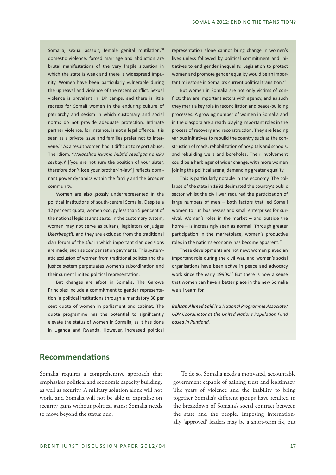Somalia, sexual assault, female genital mutilation,<sup>18</sup> domestic violence, forced marriage and abduction are brutal manifestations of the very fragile situation in which the state is weak and there is widespread impunity. Women have been particularly vulnerable during the upheaval and violence of the recent conflict. Sexual violence is prevalent in IDP camps, and there is little redress for Somali women in the enduring culture of patriarchy and sexism in which customary and social norms do not provide adequate protection. Intimate partner violence, for instance, is not a legal offence: it is seen as a private issue and families prefer not to intervene.19 As a result women find it difficult to report abuse. The idiom, '*Walaashaa iskuma hubtid seedigaa ha isku ceebayn*' ['you are not sure the position of your sister, therefore don't lose your brother-in-law'] reflects dominant power dynamics within the family and the broader community.

Women are also grossly underrepresented in the political institutions of south-central Somalia. Despite a 12 per cent quota, women occupy less than 5 per cent of the national legislature's seats. In the customary system, women may not serve as sultans, legislators or judges (*Xeerbeegti*), and they are excluded from the traditional clan forum of the *shir* in which important clan decisions are made, such as compensation payments. This systematic exclusion of women from traditional politics and the justice system perpetuates women's subordination and their current limited political representation.

But changes are afoot in Somalia. The Garowe Principles include a commitment to gender representation in political institutions through a mandatory 30 per cent quota of women in parliament and cabinet. The quota programme has the potential to significantly elevate the status of women in Somalia, as it has done in Uganda and Rwanda. However, increased political

representation alone cannot bring change in women's lives unless followed by political commitment and initiatives to end gender inequality. Legislation to protect women and promote gender equality would be an important milestone in Somalia's current political transition.<sup>20</sup>

But women in Somalia are not only victims of conflict: they are important actors with agency, and as such they merit a key role in reconciliation and peace-building processes. A growing number of women in Somalia and in the diaspora are already playing important roles in the process of recovery and reconstruction. They are leading various initiatives to rebuild the country such as the construction of roads, rehabilitation of hospitals and schools, and rebuilding wells and boreholes. Their involvement could be a harbinger of wider change, with more women joining the political arena, demanding greater equality.

This is particularly notable in the economy. The collapse of the state in 1991 decimated the country's public sector whilst the civil war required the participation of large numbers of men – both factors that led Somali women to run businesses and small enterprises for survival. Women's roles in the market – and outside the home – is increasingly seen as normal. Through greater participation in the marketplace, women's productive roles in the nation's economy has become apparent.<sup>21</sup>

These developments are not new: women played an important role during the civil war, and women's social organisations have been active in peace and advocacy work since the early 1990s.<sup>22</sup> But there is now a sense that women can have a better place in the new Somalia we all yearn for.

*Bahsan Ahmed Said is a National Programme Associate/ GBV Coordinator at the United Nations Population Fund based in Puntland.*

## **Recommendations**

Somalia requires a comprehensive approach that emphasises political and economic capacity building, as well as security. A military solution alone will not work, and Somalia will not be able to capitalise on security gains without political gains: Somalia needs to move beyond the status quo.

To do so, Somalia needs a motivated, accountable government capable of gaining trust and legitimacy. The years of violence and the inability to bring together Somalia's different groups have resulted in the breakdown of Somalia's social contract between the state and the people. Imposing internationally 'approved' leaders may be a short-term fix, but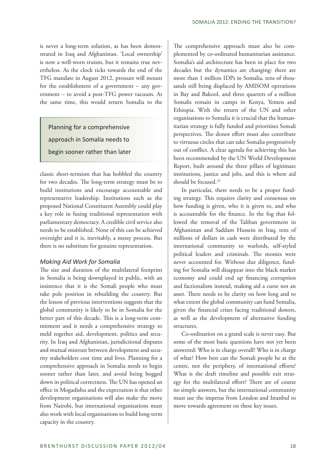is never a long-term solution, as has been demonstrated in Iraq and Afghanistan. 'Local ownership' is now a well-worn truism, but it remains true nevertheless. As the clock ticks towards the end of the TFG mandate in August 2012, pressure will mount for the establishment of a government – any government – to avoid a post-TFG power vacuum. At the same time, this would return Somalia to the

Planning for a comprehensive approach in Somalia needs to begin sooner rather than later

classic short-termism that has hobbled the country for two decades. The long-term strategy must be to build institutions and encourage accountable and representative leadership. Institutions such as the proposed National Constituent Assembly could play a key role in fusing traditional representation with parliamentary democracy. A credible civil service also needs to be established. None of this can be achieved overnight and it is, inevitably, a messy process. But there is no substitute for genuine representation.

#### *Making Aid Work for Somalia*

The size and duration of the multilateral footprint in Somalia is being downplayed in public, with an insistence that it is the Somali people who must take pole position in rebuilding the country. But the lesson of previous interventions suggests that the global community is likely to be in Somalia for the better part of this decade. This is a long-term commitment and it needs a comprehensive strategy to meld together aid, development, politics and security. In Iraq and Afghanistan, jurisdictional disputes and mutual mistrust between development and security stakeholders cost time and lives. Planning for a comprehensive approach in Somalia needs to begin sooner rather than later, and avoid being bogged down in political correctness. The UN has opened an office in Mogadishu and the expectation is that other development organisations will also make the move from Nairobi, but international organisations must also work with local organisations to build long-term capacity in the country.

The comprehensive approach must also be complemented by co-ordinated humanitarian assistance. Somalia's aid architecture has been in place for two decades but the dynamics are changing: there are more than 1 million IDPs in Somalia, tens of thousands still being displaced by AMISOM operations in Bay and Bakool, and three quarters of a million Somalis remain in camps in Kenya, Yemen and Ethiopia. With the return of the UN and other organisations to Somalia it is crucial that the humanitarian strategy is fully funded and prioritises Somali perspectives. The donor effort must also contribute to virtuous circles that can take Somalia progressively out of conflict. A clear agenda for achieving this has been recommended by the UN World Development Report, built around the three pillars of legitimate institutions, justice and jobs, and this is where aid should be focused.<sup>23</sup>

In particular, there needs to be a proper funding strategy. This requires clarity and consensus on how funding is given, who it is given to, and who is accountable for the finance. In the fog that followed the removal of the Taliban government in Afghanistan and Saddam Hussein in Iraq, tens of millions of dollars in cash were distributed by the international community to warlords, self-styled political leaders and criminals. The monies were never accounted for. Without due diligence, funding for Somalia will disappear into the black market economy and could end up financing corruption and factionalism instead, making aid a curse not an asset. There needs to be clarity on how long and to what extent the global community can fund Somalia, given the financial crises facing traditional donors, as well as the development of alternative funding structures.

Co-ordination on a grand scale is never easy. But some of the most basic questions have not yet been answered: Who is in charge overall? Who is in charge of what? How best can the Somali people be at the centre, not the periphery, of international efforts? What is the draft timeline and possible exit strategy for the multilateral effort? There are of course no simple answers, but the international community must use the impetus from London and Istanbul to move towards agreement on these key issues.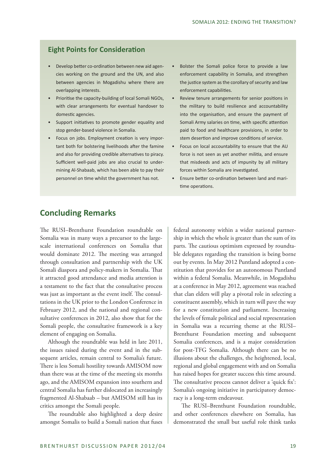## **Eight Points for Consideration**

- Develop better co-ordination between new aid agencies working on the ground and the UN, and also between agencies in Mogadishu where there are overlapping interests.
- Prioritise the capacity-building of local Somali NGOs, with clear arrangements for eventual handover to domestic agencies.
- Support initiatives to promote gender equality and stop gender-based violence in Somalia.
- Focus on jobs. Employment creation is very important both for bolstering livelihoods after the famine and also for providing credible alternatives to piracy. Sufficient well-paid jobs are also crucial to undermining Al-Shabaab, which has been able to pay their personnel on time whilst the government has not.
- Bolster the Somali police force to provide a law enforcement capability in Somalia, and strengthen the justice system as the corollary of security and law enforcement capabilities.
- Review tenure arrangements for senior positions in the military to build resilience and accountability into the organisation, and ensure the payment of Somali Army salaries on time, with specific attention paid to food and healthcare provisions, in order to stem desertion and improve conditions of service.
- Focus on local accountability to ensure that the AU force is not seen as yet another militia, and ensure that misdeeds and acts of impunity by all military forces within Somalia are investigated.
- Ensure better co-ordination between land and maritime operations.

# **Concluding Remarks**

The RUSI–Brenthurst Foundation roundtable on Somalia was in many ways a precursor to the largescale international conferences on Somalia that would dominate 2012. The meeting was arranged through consultation and partnership with the UK Somali diaspora and policy-makers in Somalia. That it attracted good attendance and media attention is a testament to the fact that the consultative process was just as important as the event itself. The consultations in the UK prior to the London Conference in February 2012, and the national and regional consultative conferences in 2012, also show that for the Somali people, the consultative framework is a key element of engaging on Somalia.

Although the roundtable was held in late 2011, the issues raised during the event and in the subsequent articles, remain central to Somalia's future. There is less Somali hostility towards AMISOM now than there was at the time of the meeting six months ago, and the AMISOM expansion into southern and central Somalia has further dislocated an increasingly fragmented Al-Shabaab – but AMISOM still has its critics amongst the Somali people.

The roundtable also highlighted a deep desire amongst Somalis to build a Somali nation that fuses

federal autonomy within a wider national partnership in which the whole is greater than the sum of its parts. The cautious optimism expressed by roundtable delegates regarding the transition is being borne out by events. In May 2012 Puntland adopted a constitution that provides for an autonomous Puntland within a federal Somalia. Meanwhile, in Mogadishu at a conference in May 2012, agreement was reached that clan elders will play a pivotal role in selecting a constituent assembly, which in turn will pave the way for a new constitution and parliament. Increasing the levels of female political and social representation in Somalia was a recurring theme at the RUSI– Brenthurst Foundation meeting and subsequent Somalia conferences, and is a major consideration for post-TFG Somalia. Although there can be no illusions about the challenges, the heightened, local, regional and global engagement with and on Somalia has raised hopes for greater success this time around. The consultative process cannot deliver a 'quick fix': Somalia's ongoing initiative in participatory democracy is a long-term endeavour.

The RUSI–Brenthurst Foundation roundtable, and other conferences elsewhere on Somalia, has demonstrated the small but useful role think tanks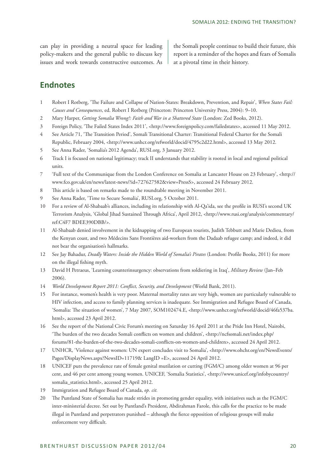can play in providing a neutral space for leading policy-makers and the general public to discuss key issues and work towards constructive outcomes. As

the Somali people continue to build their future, this report is a reminder of the hopes and fears of Somalis at a pivotal time in their history.

# **Endnotes**

- 1 Robert I Rotberg, 'The Failure and Collapse of Nation-States: Breakdown, Prevention, and Repair', *When States Fail: Causes and Consequences*, ed. Robert I Rotberg (Princeton: Princeton University Press, 2004): 9–10.
- 2 Mary Harper, *Getting Somalia Wrong?: Faith and War in a Shattered State* (London: Zed Books, 2012).
- 3 Foreign Policy, 'The Failed States Index 2011', <http://www.foreignpolicy.com/failedstates>, accessed 11 May 2012.
- 4 See Article 71, 'The Transition Period', Somali Transitional Charter: Transitional Federal Charter for the Somali Republic, February 2004, <http://www.unhcr.org/refworld/docid/4795c2d22.html>, accessed 13 May 2012.
- 5 See Anna Rader, 'Somalia's 2012 Agenda', RUSI.org, 3 January 2012.
- 6 Track I is focused on national legitimacy; track II understands that stability is rooted in local and regional political units.
- 7 'Full text of the Communique from the London Conference on Somalia at Lancaster House on 23 February', <http:// www.fco.gov.uk/en/news/latest-news/?id=727627582&view=PressS>, accessed 24 February 2012.
- 8 This article is based on remarks made to the roundtable meeting in November 2011.
- 9 See Anna Rader, 'Time to Secure Somalia', RUSI.org, 5 October 2011.
- 10 For a review of Al-Shabaab's alliances, including its relationship with Al-Qa'ida, see the profile in RUSI's second UK Terrorism Analysis, 'Global Jihad Sustained Through Africa', April 2012, <http://www.rusi.org/analysis/commentary/ ref:C4F7 BDEE390DBB/>.
- 11 Al-Shabaab denied involvement in the kidnapping of two European tourists, Judith Tebbutt and Marie Dedieu, from the Kenyan coast, and two Médecins Sans Frontières aid-workers from the Dadaab refugee camp; and indeed, it did not bear the organisation's hallmarks.
- 12 See Jay Bahadur, *Deadly Waters: Inside the Hidden World of Somalia's Pirates* (London: Profile Books, 2011) for more on the illegal fishing myth.
- 13 David H Petraeus, 'Learning counterinsurgency: observations from soldiering in Iraq', *Military Review* (Jan–Feb 2006).
- 14 *World Development Report 2011: Conflict, Security, and Development* (World Bank, 2011).
- 15 For instance, women's health is very poor. Maternal mortality rates are very high, women are particularly vulnerable to HIV infection, and access to family planning services is inadequate. See Immigration and Refugee Board of Canada, 'Somalia: The situation of women', 7 May 2007, SOM102474.E, <http://www.unhcr.org/refworld/docid/46fa537ba. html>, accessed 23 April 2012.
- 16 See the report of the National Civic Forum's meeting on Saturday 16 April 2011 at the Pride Inn Hotel, Nairobi, 'The burden of the two decades Somali conflicts on women and children', <http://ncfsomali.net/index.php/ forums/81-the-burden-of-the-two-decades-somali-conflicts-on-women-and-children>, accessed 24 April 2012.
- 17 UNHCR, 'Violence against women: UN expert concludes visit to Somalia', <http://www.ohchr.org/en/NewsEvents/ Pages/DisplayNews.aspx?NewsID=11719& LangID =E>, accessed 24 April 2012.
- 18 UNICEF puts the prevalence rate of female genital mutilation or cutting (FGM/C) among older women at 96 per cent, and 46 per cent among young women. UNICEF, 'Somalia Statistics', <http://www.unicef.org/infobycountry/ somalia\_statistics.html>, accessed 25 April 2012.
- 19 Immigration and Refugee Board of Canada, *op. cit.*
- 20 The Puntland State of Somalia has made strides in promoting gender equality, with initiatives such as the FGM/C inter-ministerial decree. Set out by Puntland's President, Abdirahman Farole, this calls for the practice to be made illegal in Puntland and perpetrators punished – although the fierce opposition of religious groups will make enforcement very difficult.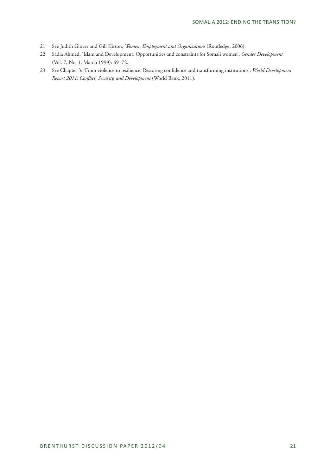- 21 See Judith Glover and Gill Kirton, *Women, Employment and Organizations* (Routledge, 2006).
- 22 Sadia Ahmed, 'Islam and Development: Opportunities and constraints for Somali women', *Gender Development* (Vol. 7, No. 1, March 1999): 69–72.
- 23 See Chapter 3: 'From violence to resilience: Restoring confidence and transforming institutions', *World Development Report 2011: Conflict, Security, and Development* (World Bank, 2011).